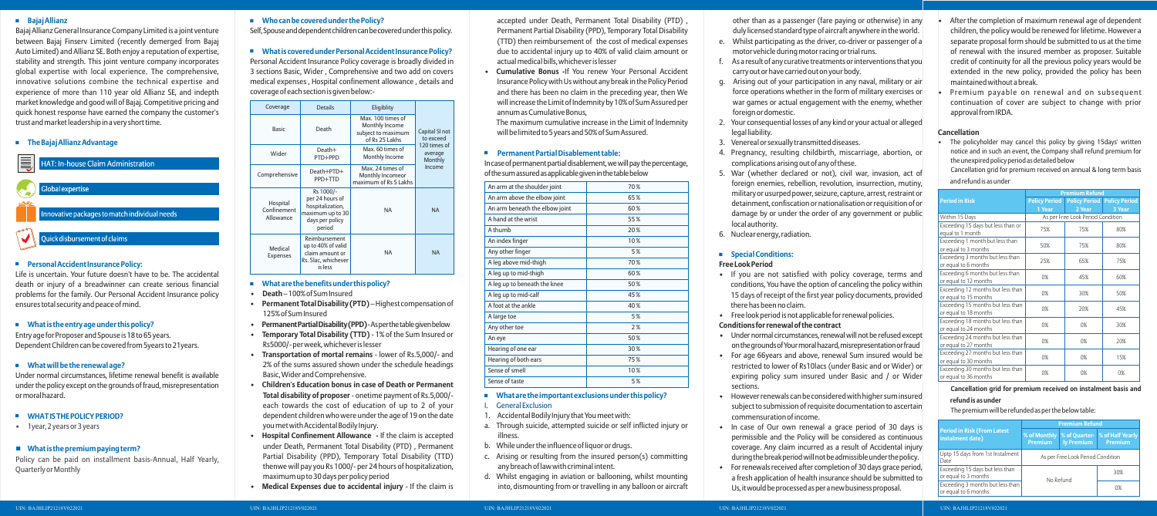Self,Spouseanddependentchildrencanbecoveredunderthispolicy.

Personal Accident Insurance Policy coverage is broadly divided in 3 sections Basic, Wider , Comprehensive and two add on covers medical expenses , Hospital confinement allowance , details and coverage of each section is given below:-

## + **What is covered under Personal Accident Insurance Policy?**

## + **Who can be covered under the Policy?**

- **Death**  100% of Sum Insured
- **Permanent Total Disability (PTD)** Highest compensation of 125% of Sum Insured
- **• PermanentPartialDisability(PPD)**-Asperthetablegivenbelow
- **Temporary Total Disability (TTD)** 1% of the Sum Insured or Rs5000/- per week, whichever is lesser
- **Transportation of mortal remains**  lower of Rs.5,000/- and 2% of the sums assured shown under the schedule headings Basic, Wider and Comprehensive.
- **Children's Education bonus in case of Death or Permanent Total disability of proposer** - onetime payment of Rs.5,000/ each towards the cost of education of up to 2 of your dependent children who were under the age of 19 on the date you met with Accidental Bodily Injury.
- **Hospital Confinement Allowance** If the claim is accepted under Death, Permanent Total Disability (PTD) , Permanent Partial Disability (PPD), Temporary Total Disability (TTD) thenwe will pay you Rs 1000/- per 24 hours of hospitalization, maximum up to 30 days per policy period
- **Medical Expenses due to accidental injury**  If the claim is

accepted under Death, Permanent Total Disability (PTD) Permanent Partial Disability (PPD), Temporary Total Disability (TTD) then reimbursement of the cost of medical expenses due to accidental injury up to 40% of valid claim amount or actual medical bills, whichever is lesser

## + **What are the benefits under this policy?**

In case of permanent partial disablement, we will pay the percentage, ofthesumassuredasapplicablegiveninthetablebelow

## + **What are the important exclusions under this policy? General Exclusion**

**• Cumulative Bonus -**If You renew Your Personal Accident Insurance Policy with Us without any break in the Policy Period and there has been no claim in the preceding year, then We will increase the Limit of Indemnity by 10% of Sum Assured per annum as Cumulative Bonus,

The maximum cumulative increase in the Limit of Indemnity will be limited to 5 years and 50% of Sum Assured.

## + **Permanent Partial Disablement table:**

- there has been no claim.
- 
- restricted to lower of Rs10lacs (under Basic and or Wider) or expiring policy sum insured under Basic and / or Wider • Under normal circumstances, renewal will not be refused except onthegroundsofYourmoralhazard,misrepresentationorfraud
- For age 66years and above, renewal Sum insured would be sections.
- commensuration of income.
- In case of Our own renewal a grace period of 30 days is permissible and the Policy will be considered as continuous coverage. Any claim incurred as a result of Accidental injury during the break period will not be admissible under the policy.
- For renewals received after completion of 30 days grace period, a fresh application of health insurance should be submitted to Us, it would be processed as per a new business proposal.
- 1. Accidental Bodily Injury that You meet with:
- a. Through suicide, attempted suicide or self inflicted injury or illness.
- b. While under the influence of liquor or drugs.
- c. Arising or resulting from the insured person(s) committing any breach of law with criminal intent.
- d. Whilst engaging in aviation or ballooning, whilst mounting into, dismounting from or travelling in any balloon or aircraft

## + **Special Conditions: Free Look Period**

- 
- other than as a passenger (fare paying or otherwise) in any duly licensed standard type of aircraft anywhere in the world. e. Whilst participating as the driver, co-driver or passenger of a motor vehicle during motor racing or trial runs.
- f. As a result of any curative treatments or interventions that you carry out or have carried out on your body.
- g. Arising out of your participation in any naval, military or air force operations whether in the form of military exercises or war games or actual engagement with the enemy, whether foreign or domestic.
- legal liability.
- 
- - 5. War (whether declared or not), civil war, invasion, act of foreign enemies, rebellion, revolution, insurrection, mutiny, military or usurped power, seizure, capture, arrest, restraint or detainment, confiscation or nationalisation or requisition of or damage by or under the order of any government or public local authority.
	- 6. Nuclear energy, radiation.

- If you are not satisfied with policy coverage, terms and conditions, You have the option of canceling the policy within 15 days of receipt of the first year policy documents, provided
- Free look period is not applicable for renewal policies.

• However renewals can be considered with higher sum insured subject to submission of requisite documentation to ascertain

- 2. Your consequential losses of any kind or your actual or alleged
- 3. Venereal or sexually transmitted diseases.
- 4. Pregnancy, resulting childbirth, miscarriage, abortion, or complications arising out of any of these.

## **Conditions for renewal of the contract**

## + **Bajaj Allianz**

## + **The Bajaj Allianz Advantage**



Bajaj Allianz General Insurance Company Limited is a joint venture between Bajaj Finserv Limited (recently demerged from Bajaj Auto Limited) and Allianz SE. Both enjoy a reputation of expertise, stability and strength. This joint venture company incorporates global expertise with local experience. The comprehensive, innovative solutions combine the technical expertise and experience of more than 110 year old Allianz SE, and indepth market knowledge and good will of Bajaj. Competitive pricing and quick honest response have earned the company the customer's trust and market leadership in a very short time.

Policy can be paid on installment basis-Annual, Half Yearly, Quarterly or Monthly

Under normal circumstances, lifetime renewal benefit is available under the policy except on the grounds of fraud, misrepresentation ormoralhazard.

## + **What is the entry age under this policy?**

## + **WHAT IS THE POLICY PERIOD?**

## ◼ **What is the premium paying term?**

## + **Personal Accident Insurance Policy:**

Life is uncertain. Your future doesn't have to be. The accidental death or injury of a breadwinner can create serious financial problems for the family. Our Personal Accident Insurance policy ensures total security and peace of mind.

Entry age for Proposer and Spouse is 18 to 65 years. Dependent Children can be covered from 5years to 21years.

• 1year, 2 years or 3 years

## + **What will be the renewal age?**

| An arm at the shoulder joint   | 70% |
|--------------------------------|-----|
| An arm above the elbow joint   | 65% |
| An arm beneath the elbow joint | 60% |
| A hand at the wrist            | 55% |
| A thumh                        | 20% |
| An index finger                | 10% |
| Any other finger               | 5%  |
| A leg above mid-thigh          | 70% |
| A leg up to mid-thigh          | 60% |
| A leg up to beneath the knee   | 50% |
| A leg up to mid-calf           | 45% |
| A foot at the ankle            | 40% |
| A large toe                    | 5%  |
| Any other toe                  | 2%  |
| An eye                         | 50% |
| Hearing of one ear             | 30% |
| Hearing of both ears           | 75% |
| Sense of smell                 | 10% |
| Sense of taste                 | 5%  |
|                                |     |

| Coverage                             | <b>Details</b>                                                                                    | Eligiblity                                                                  |                                    |
|--------------------------------------|---------------------------------------------------------------------------------------------------|-----------------------------------------------------------------------------|------------------------------------|
| <b>Basic</b>                         | Death                                                                                             | Max. 100 times of<br>Monthly Income<br>subject to maximum<br>of Rs 25 Lakhs | Capital SI not<br>to exceed        |
| Wider                                | Death+<br>PTD+PPD                                                                                 | Max. 60 times of<br>Monthly Income                                          | 120 times of<br>average<br>Monthly |
| Comprehensive                        | Death+PTD+<br>PPD+TTD                                                                             | Max. 24 times of<br>Monthly Incomeor<br>maximum of Rs 5 Lakhs               | Income                             |
| Hospital<br>Confinement<br>Allowance | Rs 1000/-<br>per 24 hours of<br>hospitalization,<br>maximum up to 30<br>days per policy<br>period | <b>NA</b>                                                                   | <b>NA</b>                          |
| Medical<br><b>Expenses</b>           | Reimbursement<br>up to 40% of valid<br>claim amount or<br>Rs. 5lac, whichever<br>is less          | <b>NA</b>                                                                   | <b>NA</b>                          |

Cancellation grid for premium received on annual & long term basis and refund is as under

• The policyholder may cancel this policy by giving 15days' written notice and in such an event, the Company shall refund premium for the unexpired policy period as detailed below

## **Cancellation**

- After the completion of maximum renewal age of dependent children, the policy would be renewed for lifetime. However a separate proposal form should be submitted to us at the time of renewal with the insured member as proposer. Suitable credit of continuity for all the previous policy years would be extended in the new policy, provided the policy has been maintained without a break.
- Premium payable on renewal and on subsequent continuation of cover are subject to change with prior approval from IRDA.

## **Cancellation grid for premium received on instalment basis and**

### **refund is as under**

The premium will be refunded as per the below table:

|                                                            | <b>Premium Refund</b>             |        |                                    |
|------------------------------------------------------------|-----------------------------------|--------|------------------------------------|
| <b>Period in Risk</b>                                      | <b>Policy Period</b>              |        | <b>Policy Period</b> Policy Period |
|                                                            | 1 Year                            | 2 Year | 3 Year                             |
| Within 15 Days                                             | As per Free Look Period Condition |        |                                    |
| Exceeding 15 days but less than or<br>equal to 1 month     | 75%                               | 75%    | 80%                                |
| Exceeding 1 month but less than<br>or equal to 3 months    | 50%                               | 75%    | 80%                                |
| Exceeding 3 months but less than<br>or equal to 6 months   | 25%                               | 65%    | 75%                                |
| Exceeding 6 months but less than<br>or equal to 12 months  | 0%                                | 45%    | 60%                                |
| Exceeding 12 months but less than<br>or equal to 15 months | 0%                                | 30%    | 50%                                |
| Exceeding 15 months but less than<br>or equal to 18 months | 0%                                | 20%    | 45%                                |
| Exceeding 18 months but less than<br>or equal to 24 months | 0%                                | 0%     | 30%                                |
| Exceeding 24 months but less than<br>or equal to 27 months | 0%                                | 0%     | 20%                                |
| Exceeding 27 months but less than<br>or equal to 30 months | 0%                                | 0%     | 15%                                |
| Exceeding 30 months but less than<br>or equal to 36 months | 0%                                | 0%     | 0%                                 |

|                                                          | <b>Premium Refund</b>             |            |                                                                   |
|----------------------------------------------------------|-----------------------------------|------------|-------------------------------------------------------------------|
| <b>Period in Risk (From Latest</b><br>instalment date)   | <b>Premium</b>                    | ly Premium | % of Monthly   % of Quarter-   % of Half Yearly<br><b>Premium</b> |
| Uptp 15 days from 1st Instalment<br>Date                 | As per Free Look Period Condition |            |                                                                   |
| Exceeding 15 days but less than<br>or equal to 3 months  | 30%<br>No Refund<br>0%            |            |                                                                   |
| Exceeding 3 months but less than<br>or equal to 6 months |                                   |            |                                                                   |